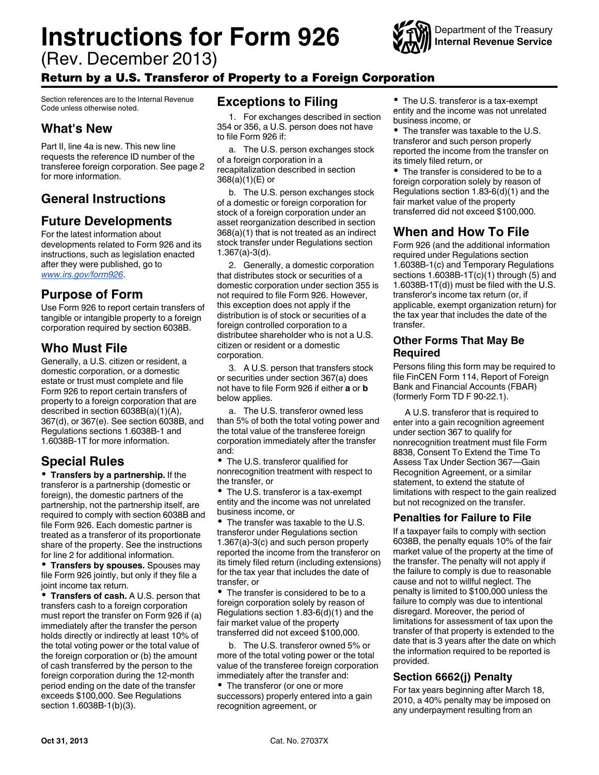# **Instructions for Form 926**



(Rev. December 2013)

## Return by a U.S. Transferor of Property to a Foreign Corporation

Section references are to the Internal Revenue Code unless otherwise noted.

## **What's New**

Part II, line 4a is new. This new line requests the reference ID number of the transferee foreign corporation. See page 2 for more information.

## **General Instructions**

## **Future Developments**

For the latest information about developments related to Form 926 and its instructions, such as legislation enacted after they were published, go to *[www.irs.gov/form926](http://www.irs.gov/form926)*.

#### **Purpose of Form**

Use Form 926 to report certain transfers of tangible or intangible property to a foreign corporation required by section 6038B.

## **Who Must File**

Generally, a U.S. citizen or resident, a domestic corporation, or a domestic estate or trust must complete and file Form 926 to report certain transfers of property to a foreign corporation that are described in section 6038B(a)(1)(A), 367(d), or 367(e). See section 6038B, and Regulations sections 1.6038B-1 and 1.6038B-1T for more information.

## **Special Rules**

**Transfers by a partnership.** If the transferor is a partnership (domestic or foreign), the domestic partners of the partnership, not the partnership itself, are required to comply with section 6038B and file Form 926. Each domestic partner is treated as a transferor of its proportionate share of the property. See the instructions for line 2 for additional information.

**Transfers by spouses.** Spouses may file Form 926 jointly, but only if they file a joint income tax return.

**Transfers of cash.** A U.S. person that transfers cash to a foreign corporation must report the transfer on Form 926 if (a) immediately after the transfer the person holds directly or indirectly at least 10% of the total voting power or the total value of the foreign corporation or (b) the amount of cash transferred by the person to the foreign corporation during the 12-month period ending on the date of the transfer exceeds \$100,000. See Regulations section 1.6038B-1(b)(3).

## **Exceptions to Filing**

1. For exchanges described in section 354 or 356, a U.S. person does not have to file Form 926 if:

a. The U.S. person exchanges stock of a foreign corporation in a recapitalization described in section 368(a)(1)(E) or

b. The U.S. person exchanges stock of a domestic or foreign corporation for stock of a foreign corporation under an asset reorganization described in section 368(a)(1) that is not treated as an indirect stock transfer under Regulations section 1.367(a)-3(d).

2. Generally, a domestic corporation that distributes stock or securities of a domestic corporation under section 355 is not required to file Form 926. However, this exception does not apply if the distribution is of stock or securities of a foreign controlled corporation to a distributee shareholder who is not a U.S. citizen or resident or a domestic corporation.

3. A U.S. person that transfers stock or securities under section 367(a) does not have to file Form 926 if either **a** or **b**  below applies.

a. The U.S. transferor owned less than 5% of both the total voting power and the total value of the transferee foreign corporation immediately after the transfer and:

The U.S. transferor qualified for nonrecognition treatment with respect to the transfer, or

The U.S. transferor is a tax-exempt entity and the income was not unrelated business income, or

The transfer was taxable to the U.S. transferor under Regulations section 1.367(a)-3(c) and such person properly reported the income from the transferor on its timely filed return (including extensions) for the tax year that includes the date of transfer, or

The transfer is considered to be to a foreign corporation solely by reason of Regulations section 1.83-6(d)(1) and the fair market value of the property transferred did not exceed \$100,000.

b. The U.S. transferor owned 5% or more of the total voting power or the total value of the transferee foreign corporation immediately after the transfer and: • The transferor (or one or more

successors) properly entered into a gain recognition agreement, or

The U.S. transferor is a tax-exempt entity and the income was not unrelated business income, or

• The transfer was taxable to the U.S. transferor and such person properly reported the income from the transfer on its timely filed return, or

• The transfer is considered to be to a foreign corporation solely by reason of Regulations section 1.83-6(d)(1) and the fair market value of the property transferred did not exceed \$100,000.

## **When and How To File**

Form 926 (and the additional information required under Regulations section 1.6038B-1(c) and Temporary Regulations sections  $1.6038B-1T(c)(1)$  through (5) and 1.6038B-1T(d)) must be filed with the U.S. transferor's income tax return (or, if applicable, exempt organization return) for the tax year that includes the date of the transfer.

#### **Other Forms That May Be Required**

Persons filing this form may be required to file FinCEN Form 114, Report of Foreign Bank and Financial Accounts (FBAR) (formerly Form TD F 90-22.1).

A U.S. transferor that is required to enter into a gain recognition agreement under section 367 to qualify for nonrecognition treatment must file Form 8838, Consent To Extend the Time To Assess Tax Under Section 367—Gain Recognition Agreement, or a similar statement, to extend the statute of limitations with respect to the gain realized but not recognized on the transfer.

#### **Penalties for Failure to File**

If a taxpayer fails to comply with section 6038B, the penalty equals 10% of the fair market value of the property at the time of the transfer. The penalty will not apply if the failure to comply is due to reasonable cause and not to willful neglect. The penalty is limited to \$100,000 unless the failure to comply was due to intentional disregard. Moreover, the period of limitations for assessment of tax upon the transfer of that property is extended to the date that is 3 years after the date on which the information required to be reported is provided.

#### **Section 6662(j) Penalty**

For tax years beginning after March 18, 2010, a 40% penalty may be imposed on any underpayment resulting from an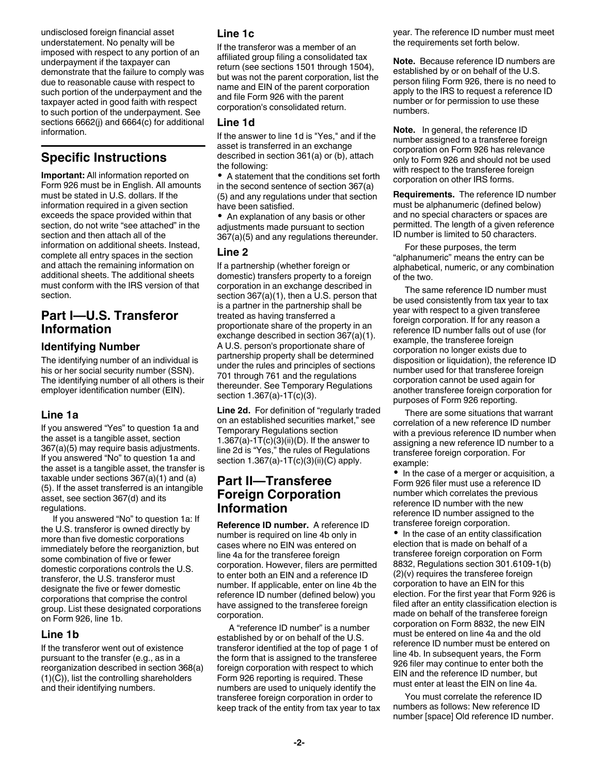undisclosed foreign financial asset understatement. No penalty will be imposed with respect to any portion of an underpayment if the taxpayer can demonstrate that the failure to comply was due to reasonable cause with respect to such portion of the underpayment and the taxpayer acted in good faith with respect to such portion of the underpayment. See sections 6662(j) and 6664(c) for additional information.

## **Specific Instructions**

**Important:** All information reported on Form 926 must be in English. All amounts must be stated in U.S. dollars. If the information required in a given section exceeds the space provided within that section, do not write "see attached" in the section and then attach all of the information on additional sheets. Instead, complete all entry spaces in the section and attach the remaining information on additional sheets. The additional sheets must conform with the IRS version of that section.

## **Part I—U.S. Transferor Information**

#### **Identifying Number**

The identifying number of an individual is his or her social security number (SSN). The identifying number of all others is their employer identification number (EIN).

#### **Line 1a**

If you answered "Yes" to question 1a and the asset is a tangible asset, section 367(a)(5) may require basis adjustments. If you answered "No" to question 1a and the asset is a tangible asset, the transfer is taxable under sections 367(a)(1) and (a) (5). If the asset transferred is an intangible asset, see section 367(d) and its regulations.

If you answered "No" to question 1a: If the U.S. transferor is owned directly by more than five domestic corporations immediately before the reorganiztion, but some combination of five or fewer domestic corporations controls the U.S. transferor, the U.S. transferor must designate the five or fewer domestic corporations that comprise the control group. List these designated corporations on Form 926, line 1b.

#### **Line 1b**

If the transferor went out of existence pursuant to the transfer (e.g., as in a reorganization described in section 368(a) (1)(C)), list the controlling shareholders and their identifying numbers.

#### **Line 1c**

If the transferor was a member of an affiliated group filing a consolidated tax return (see sections 1501 through 1504), but was not the parent corporation, list the name and EIN of the parent corporation and file Form 926 with the parent corporation's consolidated return.

#### **Line 1d**

If the answer to line 1d is "Yes," and if the asset is transferred in an exchange described in section 361(a) or (b), attach the following:

A statement that the conditions set forth in the second sentence of section 367(a) (5) and any regulations under that section have been satisfied.

• An explanation of any basis or other adjustments made pursuant to section 367(a)(5) and any regulations thereunder.

#### **Line 2**

If a partnership (whether foreign or domestic) transfers property to a foreign corporation in an exchange described in section 367(a)(1), then a U.S. person that is a partner in the partnership shall be treated as having transferred a proportionate share of the property in an exchange described in section 367(a)(1). A U.S. person's proportionate share of partnership property shall be determined under the rules and principles of sections 701 through 761 and the regulations thereunder. See Temporary Regulations section 1.367(a)-1T(c)(3).

**Line 2d.** For definition of "regularly traded on an established securities market," see Temporary Regulations section 1.367(a)-1 $T(c)(3)(ii)(D)$ . If the answer to line 2d is "Yes," the rules of Regulations section  $1.367(a) - 1T(c)(3)(ii)(C)$  apply.

#### **Part II—Transferee Foreign Corporation Information**

**Reference ID number.** A reference ID number is required on line 4b only in cases where no EIN was entered on line 4a for the transferee foreign corporation. However, filers are permitted to enter both an EIN and a reference ID number. If applicable, enter on line 4b the reference ID number (defined below) you have assigned to the transferee foreign corporation.

A "reference ID number" is a number established by or on behalf of the U.S. transferor identified at the top of page 1 of the form that is assigned to the transferee foreign corporation with respect to which Form 926 reporting is required. These numbers are used to uniquely identify the transferee foreign corporation in order to keep track of the entity from tax year to tax year. The reference ID number must meet the requirements set forth below.

**Note.** Because reference ID numbers are established by or on behalf of the U.S. person filing Form 926, there is no need to apply to the IRS to request a reference ID number or for permission to use these numbers.

**Note.** In general, the reference ID number assigned to a transferee foreign corporation on Form 926 has relevance only to Form 926 and should not be used with respect to the transferee foreign corporation on other IRS forms.

**Requirements.** The reference ID number must be alphanumeric (defined below) and no special characters or spaces are permitted. The length of a given reference ID number is limited to 50 characters.

For these purposes, the term "alphanumeric" means the entry can be alphabetical, numeric, or any combination of the two.

The same reference ID number must be used consistently from tax year to tax year with respect to a given transferee foreign corporation. If for any reason a reference ID number falls out of use (for example, the transferee foreign corporation no longer exists due to disposition or liquidation), the reference ID number used for that transferee foreign corporation cannot be used again for another transferee foreign corporation for purposes of Form 926 reporting.

There are some situations that warrant correlation of a new reference ID number with a previous reference ID number when assigning a new reference ID number to a transferee foreign corporation. For example:

• In the case of a merger or acquisition, a Form 926 filer must use a reference ID number which correlates the previous reference ID number with the new reference ID number assigned to the transferee foreign corporation.

• In the case of an entity classification election that is made on behalf of a transferee foreign corporation on Form 8832, Regulations section 301.6109-1(b) (2)(v) requires the transferee foreign corporation to have an EIN for this election. For the first year that Form 926 is filed after an entity classification election is made on behalf of the transferee foreign corporation on Form 8832, the new EIN must be entered on line 4a and the old reference ID number must be entered on line 4b. In subsequent years, the Form 926 filer may continue to enter both the EIN and the reference ID number, but must enter at least the EIN on line 4a.

You must correlate the reference ID numbers as follows: New reference ID number [space] Old reference ID number.